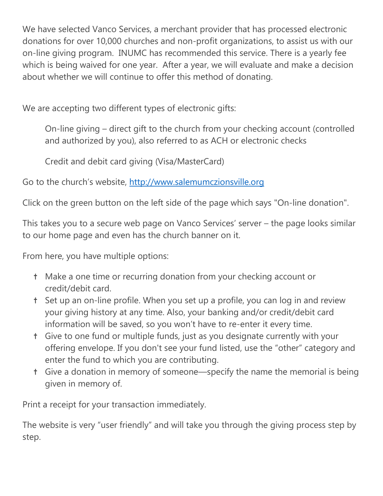We have selected Vanco Services, a merchant provider that has processed electronic donations for over 10,000 churches and non-profit organizations, to assist us with our on-line giving program. INUMC has recommended this service. There is a yearly fee which is being waived for one year. After a year, we will evaluate and make a decision about whether we will continue to offer this method of donating.

We are accepting two different types of electronic gifts:

On-line giving – direct gift to the church from your checking account (controlled and authorized by you), also referred to as ACH or electronic checks

Credit and debit card giving (Visa/MasterCard)

Go to the church's website, [http://www.salemumczionsville.org](http://www.salemumczionsville.org/)

Click on the green button on the left side of the page which says "On-line donation".

This takes you to a secure web page on Vanco Services' server – the page looks similar to our home page and even has the church banner on it.

From here, you have multiple options:

- † Make a one time or recurring donation from your checking account or credit/debit card.
- † Set up an on-line profile. When you set up a profile, you can log in and review your giving history at any time. Also, your banking and/or credit/debit card information will be saved, so you won't have to re-enter it every time.
- † Give to one fund or multiple funds, just as you designate currently with your offering envelope. If you don't see your fund listed, use the "other" category and enter the fund to which you are contributing.
- † Give a donation in memory of someone—specify the name the memorial is being given in memory of.

Print a receipt for your transaction immediately.

The website is very "user friendly" and will take you through the giving process step by step.